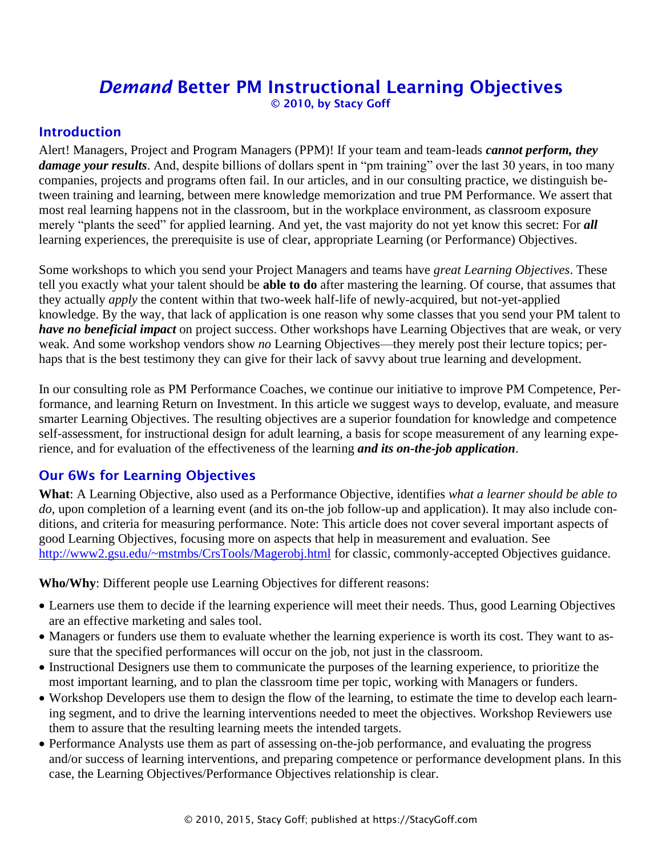# *Demand* Better PM Instructional Learning Objectives © 2010, by Stacy Goff

#### **Introduction**

Alert! Managers, Project and Program Managers (PPM)! If your team and team-leads *cannot perform, they damage your results*. And, despite billions of dollars spent in "pm training" over the last 30 years, in too many companies, projects and programs often fail. In our articles, and in our consulting practice, we distinguish between training and learning, between mere knowledge memorization and true PM Performance. We assert that most real learning happens not in the classroom, but in the workplace environment, as classroom exposure merely "plants the seed" for applied learning. And yet, the vast majority do not yet know this secret: For *all* learning experiences, the prerequisite is use of clear, appropriate Learning (or Performance) Objectives.

Some workshops to which you send your Project Managers and teams have *great Learning Objectives*. These tell you exactly what your talent should be **able to do** after mastering the learning. Of course, that assumes that they actually *apply* the content within that two-week half-life of newly-acquired, but not-yet-applied knowledge. By the way, that lack of application is one reason why some classes that you send your PM talent to *have no beneficial impact* on project success. Other workshops have Learning Objectives that are weak, or very weak. And some workshop vendors show *no* Learning Objectives—they merely post their lecture topics; perhaps that is the best testimony they can give for their lack of savvy about true learning and development.

In our consulting role as PM Performance Coaches, we continue our initiative to improve PM Competence, Performance, and learning Return on Investment. In this article we suggest ways to develop, evaluate, and measure smarter Learning Objectives. The resulting objectives are a superior foundation for knowledge and competence self-assessment, for instructional design for adult learning, a basis for scope measurement of any learning experience, and for evaluation of the effectiveness of the learning *and its on-the-job application*.

### Our 6Ws for Learning Objectives

**What**: A Learning Objective, also used as a Performance Objective, identifies *what a learner should be able to do*, upon completion of a learning event (and its on-the job follow-up and application). It may also include conditions, and criteria for measuring performance. Note: This article does not cover several important aspects of good Learning Objectives, focusing more on aspects that help in measurement and evaluation. See <http://www2.gsu.edu/~mstmbs/CrsTools/Magerobj.html> for classic, commonly-accepted Objectives guidance.

**Who/Why**: Different people use Learning Objectives for different reasons:

- Learners use them to decide if the learning experience will meet their needs. Thus, good Learning Objectives are an effective marketing and sales tool.
- Managers or funders use them to evaluate whether the learning experience is worth its cost. They want to assure that the specified performances will occur on the job, not just in the classroom.
- Instructional Designers use them to communicate the purposes of the learning experience, to prioritize the most important learning, and to plan the classroom time per topic, working with Managers or funders.
- Workshop Developers use them to design the flow of the learning, to estimate the time to develop each learning segment, and to drive the learning interventions needed to meet the objectives. Workshop Reviewers use them to assure that the resulting learning meets the intended targets.
- Performance Analysts use them as part of assessing on-the-job performance, and evaluating the progress and/or success of learning interventions, and preparing competence or performance development plans. In this case, the Learning Objectives/Performance Objectives relationship is clear.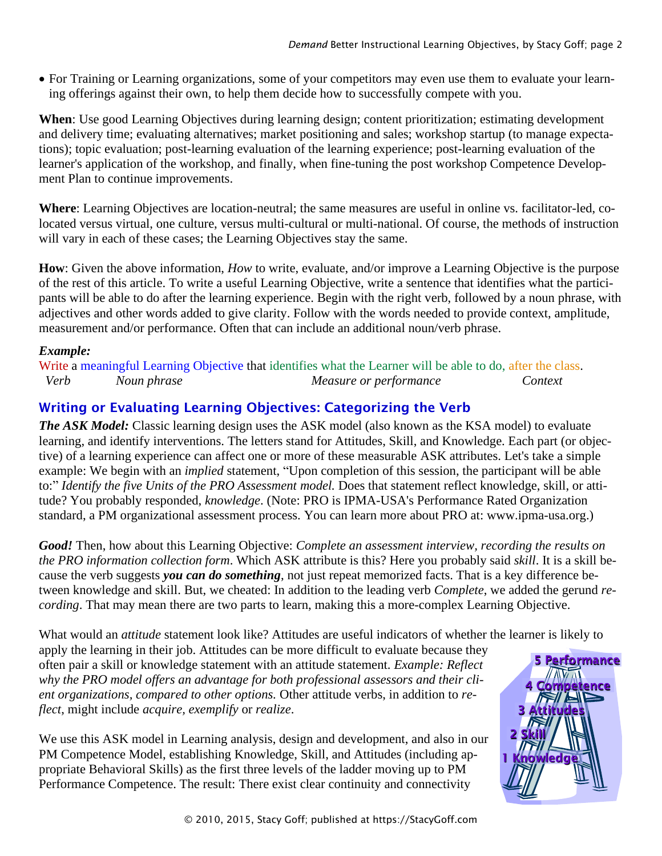• For Training or Learning organizations, some of your competitors may even use them to evaluate your learning offerings against their own, to help them decide how to successfully compete with you.

**When**: Use good Learning Objectives during learning design; content prioritization; estimating development and delivery time; evaluating alternatives; market positioning and sales; workshop startup (to manage expectations); topic evaluation; post-learning evaluation of the learning experience; post-learning evaluation of the learner's application of the workshop, and finally, when fine-tuning the post workshop Competence Development Plan to continue improvements.

**Where**: Learning Objectives are location-neutral; the same measures are useful in online vs. facilitator-led, colocated versus virtual, one culture, versus multi-cultural or multi-national. Of course, the methods of instruction will vary in each of these cases; the Learning Objectives stay the same.

**How**: Given the above information, *How* to write, evaluate, and/or improve a Learning Objective is the purpose of the rest of this article. To write a useful Learning Objective, write a sentence that identifies what the participants will be able to do after the learning experience. Begin with the right verb, followed by a noun phrase, with adjectives and other words added to give clarity. Follow with the words needed to provide context, amplitude, measurement and/or performance. Often that can include an additional noun/verb phrase.

#### *Example:*

Write a meaningful Learning Objective that identifies what the Learner will be able to do, after the class.  *Verb Noun phrase Measure or performance Context*

# Writing or Evaluating Learning Objectives: Categorizing the Verb

*The ASK Model:* Classic learning design uses the ASK model (also known as the KSA model) to evaluate learning, and identify interventions. The letters stand for Attitudes, Skill, and Knowledge. Each part (or objective) of a learning experience can affect one or more of these measurable ASK attributes. Let's take a simple example: We begin with an *implied* statement, "Upon completion of this session, the participant will be able to:" *Identify the five Units of the PRO Assessment model.* Does that statement reflect knowledge, skill, or attitude? You probably responded, *knowledge*. (Note: PRO is IPMA-USA's Performance Rated Organization standard, a PM organizational assessment process. You can learn more about PRO at: www.ipma-usa.org.)

*Good!* Then, how about this Learning Objective: *Complete an assessment interview, recording the results on the PRO information collection form*. Which ASK attribute is this? Here you probably said *skill*. It is a skill because the verb suggests *you can do something*, not just repeat memorized facts. That is a key difference between knowledge and skill. But, we cheated: In addition to the leading verb *Complete*, we added the gerund *recording*. That may mean there are two parts to learn, making this a more-complex Learning Objective.

What would an *attitude* statement look like? Attitudes are useful indicators of whether the learner is likely to

apply the learning in their job. Attitudes can be more difficult to evaluate because they often pair a skill or knowledge statement with an attitude statement. *Example: Reflect why the PRO model offers an advantage for both professional assessors and their client organizations, compared to other options.* Other attitude verbs, in addition to *reflect*, might include *acquire, exemplify* or *realize*. The result of the result: There exist clear continuity and connectivity<br>
Performance why the PRO model offers an advantage for both professional assessors and their client<br>
ent organizations, compared to other options. Oth

We use this ASK model in Learning analysis, design and development, and also in our PM Competence Model, establishing Knowledge, Skill, and Attitudes (including appropriate Behavioral Skills) as the first three levels of the ladder moving up to PM

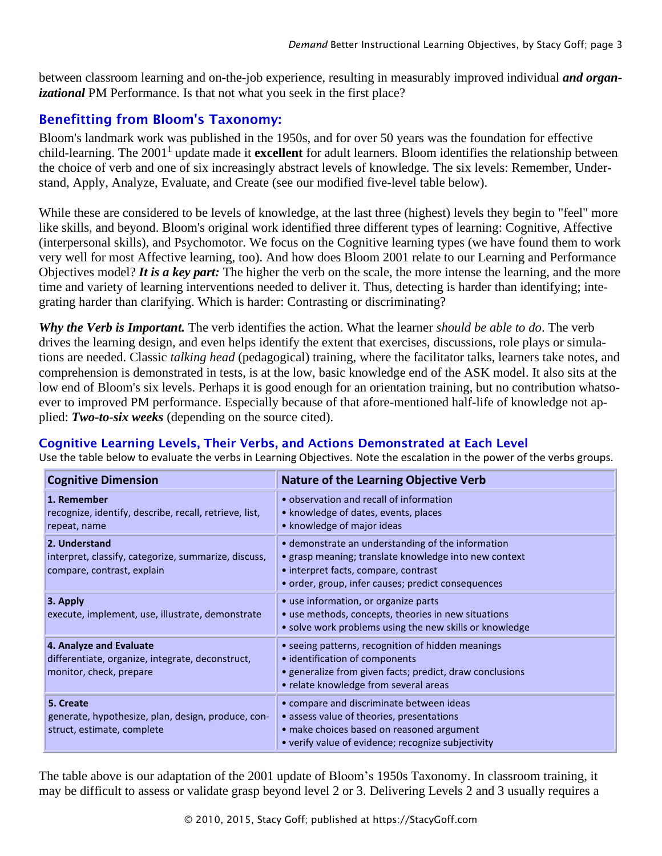between classroom learning and on-the-job experience, resulting in measurably improved individual *and organizational* PM Performance. Is that not what you seek in the first place?

# Benefitting from Bloom's Taxonomy:

Bloom's landmark work was published in the 1950s, and for over 50 years was the foundation for effective child-learning. The 2001<sup>1</sup> update made it **excellent** for adult learners. Bloom identifies the relationship between the choice of verb and one of six increasingly abstract levels of knowledge. The six levels: Remember, Understand, Apply, Analyze, Evaluate, and Create (see our modified five-level table below).

While these are considered to be levels of knowledge, at the last three (highest) levels they begin to "feel" more like skills, and beyond. Bloom's original work identified three different types of learning: Cognitive, Affective (interpersonal skills), and Psychomotor. We focus on the Cognitive learning types (we have found them to work very well for most Affective learning, too). And how does Bloom 2001 relate to our Learning and Performance Objectives model? *It is a key part:* The higher the verb on the scale, the more intense the learning, and the more time and variety of learning interventions needed to deliver it. Thus, detecting is harder than identifying; integrating harder than clarifying. Which is harder: Contrasting or discriminating?

*Why the Verb is Important.* The verb identifies the action. What the learner *should be able to do*. The verb drives the learning design, and even helps identify the extent that exercises, discussions, role plays or simulations are needed. Classic *talking head* (pedagogical) training, where the facilitator talks, learners take notes, and comprehension is demonstrated in tests, is at the low, basic knowledge end of the ASK model. It also sits at the low end of Bloom's six levels. Perhaps it is good enough for an orientation training, but no contribution whatsoever to improved PM performance. Especially because of that afore-mentioned half-life of knowledge not applied: *Two-to-six weeks* (depending on the source cited).

### Cognitive Learning Levels, Their Verbs, and Actions Demonstrated at Each Level

Use the table below to evaluate the verbs in Learning Objectives. Note the escalation in the power of the verbs groups.

| <b>Cognitive Dimension</b>                                                                             | <b>Nature of the Learning Objective Verb</b>                                                                                                                                                             |
|--------------------------------------------------------------------------------------------------------|----------------------------------------------------------------------------------------------------------------------------------------------------------------------------------------------------------|
| 1. Remember<br>recognize, identify, describe, recall, retrieve, list,<br>repeat, name                  | • observation and recall of information<br>• knowledge of dates, events, places<br>• knowledge of major ideas                                                                                            |
| 2. Understand<br>interpret, classify, categorize, summarize, discuss,<br>compare, contrast, explain    | • demonstrate an understanding of the information<br>• grasp meaning; translate knowledge into new context<br>• interpret facts, compare, contrast<br>• order, group, infer causes; predict consequences |
| 3. Apply<br>execute, implement, use, illustrate, demonstrate                                           | • use information, or organize parts<br>• use methods, concepts, theories in new situations<br>• solve work problems using the new skills or knowledge                                                   |
| 4. Analyze and Evaluate<br>differentiate, organize, integrate, deconstruct,<br>monitor, check, prepare | • seeing patterns, recognition of hidden meanings<br>• identification of components<br>• generalize from given facts; predict, draw conclusions<br>• relate knowledge from several areas                 |
| 5. Create<br>generate, hypothesize, plan, design, produce, con-<br>struct, estimate, complete          | • compare and discriminate between ideas<br>• assess value of theories, presentations<br>• make choices based on reasoned argument<br>• verify value of evidence; recognize subjectivity                 |

The table above is our adaptation of the 2001 update of Bloom's 1950s Taxonomy. In classroom training, it may be difficult to assess or validate grasp beyond level 2 or 3. Delivering Levels 2 and 3 usually requires a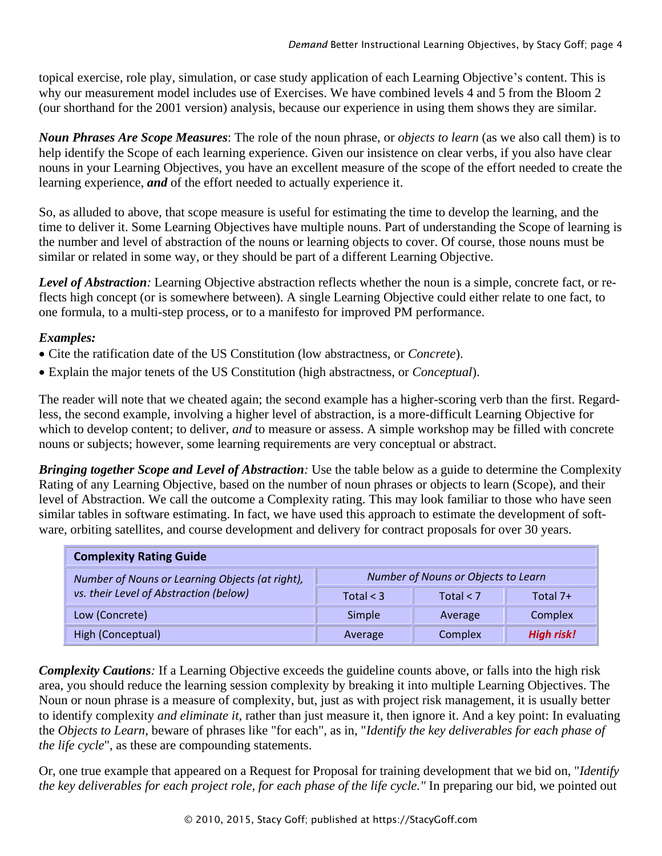topical exercise, role play, simulation, or case study application of each Learning Objective's content. This is why our measurement model includes use of Exercises. We have combined levels 4 and 5 from the Bloom 2 (our shorthand for the 2001 version) analysis, because our experience in using them shows they are similar.

*Noun Phrases Are Scope Measures*: The role of the noun phrase, or *objects to learn* (as we also call them) is to help identify the Scope of each learning experience. Given our insistence on clear verbs, if you also have clear nouns in your Learning Objectives, you have an excellent measure of the scope of the effort needed to create the learning experience, *and* of the effort needed to actually experience it.

So, as alluded to above, that scope measure is useful for estimating the time to develop the learning, and the time to deliver it. Some Learning Objectives have multiple nouns. Part of understanding the Scope of learning is the number and level of abstraction of the nouns or learning objects to cover. Of course, those nouns must be similar or related in some way, or they should be part of a different Learning Objective.

*Level of Abstraction:* Learning Objective abstraction reflects whether the noun is a simple, concrete fact, or reflects high concept (or is somewhere between). A single Learning Objective could either relate to one fact, to one formula, to a multi-step process, or to a manifesto for improved PM performance.

#### *Examples:*

- Cite the ratification date of the US Constitution (low abstractness, or *Concrete*).
- Explain the major tenets of the US Constitution (high abstractness, or *Conceptual*).

The reader will note that we cheated again; the second example has a higher-scoring verb than the first. Regardless, the second example, involving a higher level of abstraction, is a more-difficult Learning Objective for which to develop content; to deliver, *and* to measure or assess. A simple workshop may be filled with concrete nouns or subjects; however, some learning requirements are very conceptual or abstract.

*Bringing together Scope and Level of Abstraction*: Use the table below as a guide to determine the Complexity Rating of any Learning Objective, based on the number of noun phrases or objects to learn (Scope), and their level of Abstraction. We call the outcome a Complexity rating. This may look familiar to those who have seen similar tables in software estimating. In fact, we have used this approach to estimate the development of software, orbiting satellites, and course development and delivery for contract proposals for over 30 years.

| <b>Complexity Rating Guide</b>                                                            |                                     |             |                   |  |  |  |  |
|-------------------------------------------------------------------------------------------|-------------------------------------|-------------|-------------------|--|--|--|--|
| Number of Nouns or Learning Objects (at right),<br>vs. their Level of Abstraction (below) | Number of Nouns or Objects to Learn |             |                   |  |  |  |  |
|                                                                                           | Total $<$ 3                         | Total $<$ 7 | Total 7+          |  |  |  |  |
| Low (Concrete)                                                                            | Simple                              | Average     | Complex           |  |  |  |  |
| High (Conceptual)                                                                         | Average                             | Complex     | <b>High risk!</b> |  |  |  |  |

*Complexity Cautions:* If a Learning Objective exceeds the guideline counts above, or falls into the high risk area, you should reduce the learning session complexity by breaking it into multiple Learning Objectives. The Noun or noun phrase is a measure of complexity, but, just as with project risk management, it is usually better to identify complexity *and eliminate it*, rather than just measure it, then ignore it. And a key point: In evaluating the *Objects to Learn*, beware of phrases like "for each", as in, "*Identify the key deliverables for each phase of the life cycle*", as these are compounding statements.

Or, one true example that appeared on a Request for Proposal for training development that we bid on, "*Identify the key deliverables for each project role, for each phase of the life cycle."* In preparing our bid, we pointed out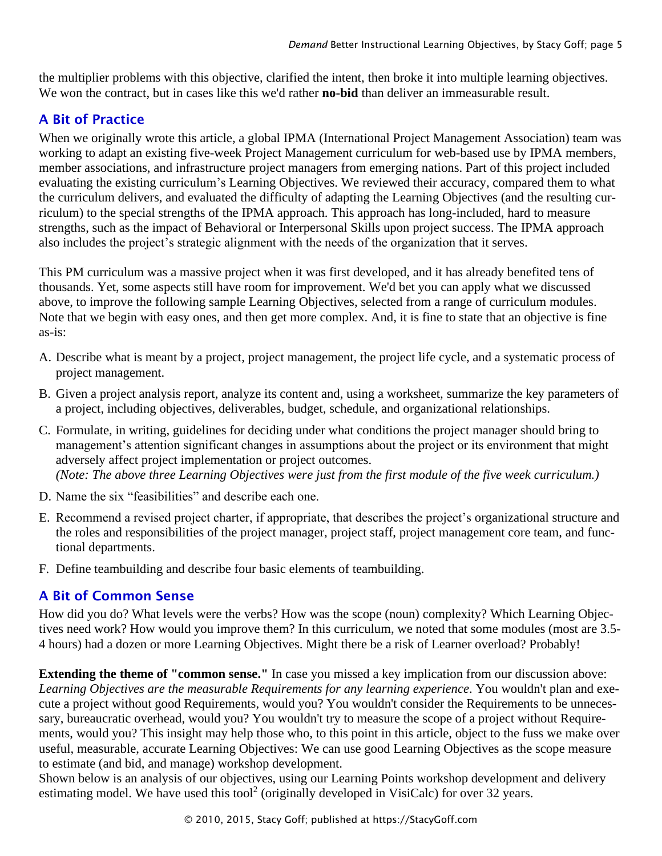the multiplier problems with this objective, clarified the intent, then broke it into multiple learning objectives. We won the contract, but in cases like this we'd rather **no-bid** than deliver an immeasurable result.

# A Bit of Practice

When we originally wrote this article, a global IPMA (International Project Management Association) team was working to adapt an existing five-week Project Management curriculum for web-based use by IPMA members, member associations, and infrastructure project managers from emerging nations. Part of this project included evaluating the existing curriculum's Learning Objectives. We reviewed their accuracy, compared them to what the curriculum delivers, and evaluated the difficulty of adapting the Learning Objectives (and the resulting curriculum) to the special strengths of the IPMA approach. This approach has long-included, hard to measure strengths, such as the impact of Behavioral or Interpersonal Skills upon project success. The IPMA approach also includes the project's strategic alignment with the needs of the organization that it serves.

This PM curriculum was a massive project when it was first developed, and it has already benefited tens of thousands. Yet, some aspects still have room for improvement. We'd bet you can apply what we discussed above, to improve the following sample Learning Objectives, selected from a range of curriculum modules. Note that we begin with easy ones, and then get more complex. And, it is fine to state that an objective is fine as-is:

- A. Describe what is meant by a project, project management, the project life cycle, and a systematic process of project management.
- B. Given a project analysis report, analyze its content and, using a worksheet, summarize the key parameters of a project, including objectives, deliverables, budget, schedule, and organizational relationships.
- C. Formulate, in writing, guidelines for deciding under what conditions the project manager should bring to management's attention significant changes in assumptions about the project or its environment that might adversely affect project implementation or project outcomes. *(Note: The above three Learning Objectives were just from the first module of the five week curriculum.)*
- D. Name the six "feasibilities" and describe each one.
- E. Recommend a revised project charter, if appropriate, that describes the project's organizational structure and the roles and responsibilities of the project manager, project staff, project management core team, and functional departments.
- F. Define teambuilding and describe four basic elements of teambuilding.

# A Bit of Common Sense

How did you do? What levels were the verbs? How was the scope (noun) complexity? Which Learning Objectives need work? How would you improve them? In this curriculum, we noted that some modules (most are 3.5- 4 hours) had a dozen or more Learning Objectives. Might there be a risk of Learner overload? Probably!

**Extending the theme of "common sense."** In case you missed a key implication from our discussion above: *Learning Objectives are the measurable Requirements for any learning experience*. You wouldn't plan and execute a project without good Requirements, would you? You wouldn't consider the Requirements to be unnecessary, bureaucratic overhead, would you? You wouldn't try to measure the scope of a project without Requirements, would you? This insight may help those who, to this point in this article, object to the fuss we make over useful, measurable, accurate Learning Objectives: We can use good Learning Objectives as the scope measure to estimate (and bid, and manage) workshop development.

Shown below is an analysis of our objectives, using our Learning Points workshop development and delivery estimating model. We have used this tool<sup>2</sup> (originally developed in VisiCalc) for over 32 years.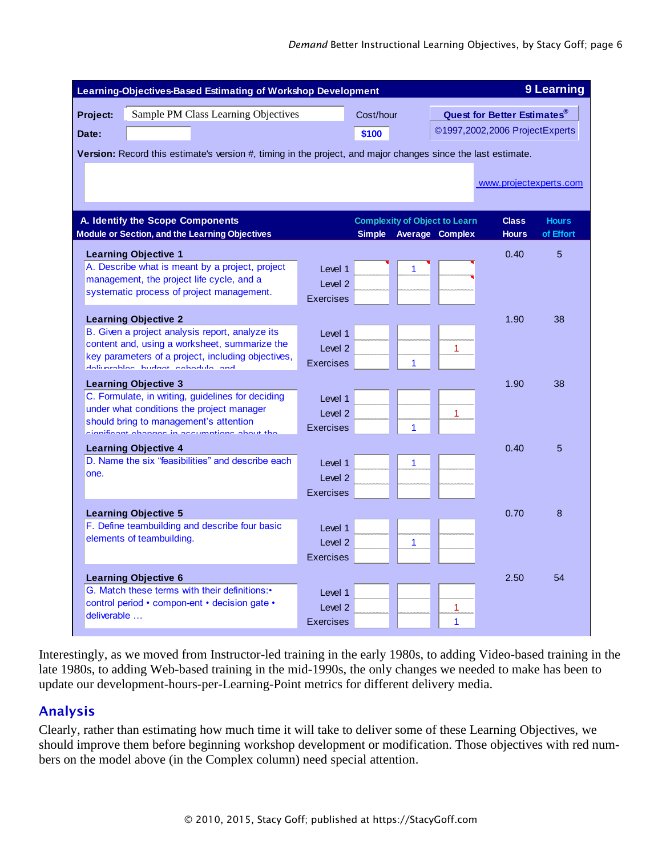| Learning-Objectives-Based Estimating of Workshop Development                                                 |                    |               |   |                                      |                                |              |  |
|--------------------------------------------------------------------------------------------------------------|--------------------|---------------|---|--------------------------------------|--------------------------------|--------------|--|
| Sample PM Class Learning Objectives<br>Project:<br>Date:                                                     |                    | Cost/hour     |   | <b>Quest for Better Estimates®</b>   |                                |              |  |
|                                                                                                              |                    | \$100         |   |                                      | ©1997,2002,2006 ProjectExperts |              |  |
| Version: Record this estimate's version #, timing in the project, and major changes since the last estimate. |                    |               |   |                                      |                                |              |  |
|                                                                                                              |                    |               |   |                                      |                                |              |  |
|                                                                                                              |                    |               |   |                                      | www.projectexperts.com         |              |  |
|                                                                                                              |                    |               |   |                                      |                                |              |  |
| A. Identify the Scope Components                                                                             |                    |               |   | <b>Complexity of Object to Learn</b> | <b>Class</b>                   | <b>Hours</b> |  |
| <b>Module or Section, and the Learning Objectives</b>                                                        |                    | <b>Simple</b> |   | Average Complex                      | <b>Hours</b>                   | of Effort    |  |
| <b>Learning Objective 1</b>                                                                                  |                    |               |   |                                      | 0.40                           | 5            |  |
| A. Describe what is meant by a project, project                                                              | Level 1            |               | 1 |                                      |                                |              |  |
| management, the project life cycle, and a                                                                    | Level <sub>2</sub> |               |   |                                      |                                |              |  |
| systematic process of project management.                                                                    | <b>Exercises</b>   |               |   |                                      |                                |              |  |
| <b>Learning Objective 2</b>                                                                                  |                    |               |   |                                      | 1.90                           | 38           |  |
| B. Given a project analysis report, analyze its                                                              | Level 1            |               |   |                                      |                                |              |  |
| content and, using a worksheet, summarize the                                                                | Level <sub>2</sub> |               |   | 1                                    |                                |              |  |
| key parameters of a project, including objectives,<br>deliverables budset sebedule and                       | <b>Exercises</b>   |               | 1 |                                      |                                |              |  |
|                                                                                                              |                    |               |   |                                      |                                |              |  |
| <b>Learning Objective 3</b><br>C. Formulate, in writing, guidelines for deciding                             |                    |               |   |                                      | 1.90                           | 38           |  |
| under what conditions the project manager                                                                    | Level 1            |               |   |                                      |                                |              |  |
| should bring to management's attention                                                                       | level 2            |               |   | 1                                    |                                |              |  |
| ificant abonnes in consumption                                                                               | <b>Exercises</b>   |               | 1 |                                      |                                |              |  |
| <b>Learning Objective 4</b>                                                                                  |                    |               |   |                                      | 0.40                           | 5            |  |
| D. Name the six "feasibilities" and describe each                                                            | I evel 1           |               | 1 |                                      |                                |              |  |
| one.                                                                                                         | Level <sub>2</sub> |               |   |                                      |                                |              |  |
|                                                                                                              | <b>Exercises</b>   |               |   |                                      |                                |              |  |
| <b>Learning Objective 5</b>                                                                                  |                    |               |   |                                      | 0.70                           | 8            |  |
| F. Define teambuilding and describe four basic                                                               | Level 1            |               |   |                                      |                                |              |  |
| elements of teambuilding.                                                                                    | Level <sub>2</sub> |               | 1 |                                      |                                |              |  |
|                                                                                                              | <b>Exercises</b>   |               |   |                                      |                                |              |  |
| <b>Learning Objective 6</b>                                                                                  |                    |               |   |                                      | 2.50                           | 54           |  |
| G. Match these terms with their definitions:•                                                                | I evel 1           |               |   |                                      |                                |              |  |
| control period • compon-ent • decision gate •                                                                | level 2            |               |   | 1                                    |                                |              |  |
| deliverable                                                                                                  | Exercises          |               |   | 1                                    |                                |              |  |

Interestingly, as we moved from Instructor-led training in the early 1980s, to adding Video-based training in the late 1980s, to adding Web-based training in the mid-1990s, the only changes we needed to make has been to update our development-hours-per-Learning-Point metrics for different delivery media.

### Analysis  **Learning Objective 8**

Clearly, rather than estimating how much time it will take to deliver some of these Learning Objectives, we should improve them before beginning workshop development or modification. Those objectives with red numbers on the model above (in the Complex column) need special attention.  $\frac{1}{2}$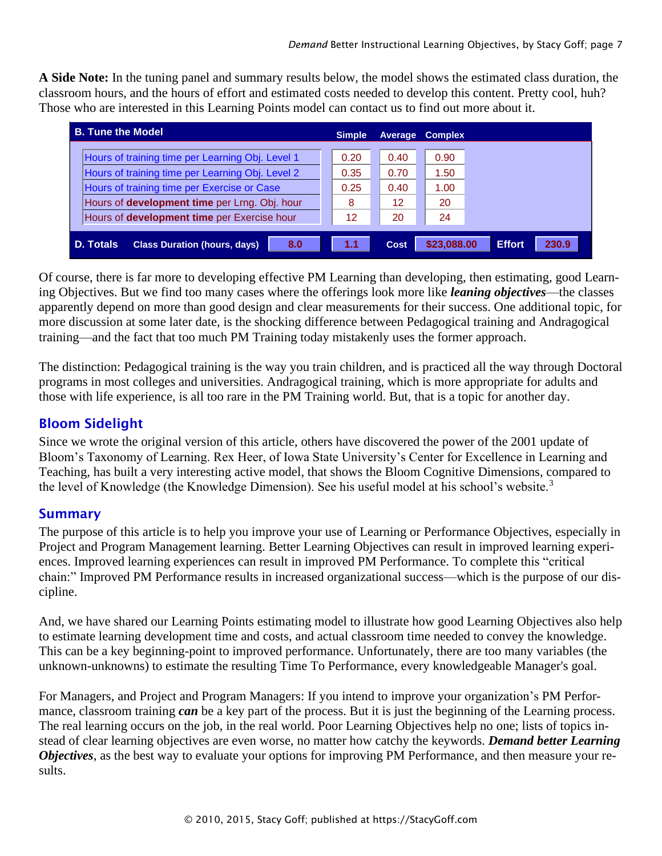**A Side Note:** In the tuning panel and summary results below, the model shows the estimated class duration, the classroom hours, and the hours of effort and estimated costs needed to develop this content. Pretty cool, huh? Those who are interested in this Learning Points model can contact us to find out more about it.

| <b>B. Tune the Model</b>                                                                                                                                                                             | <b>Simple</b>             | Average                    | <b>Complex</b>             |                        |
|------------------------------------------------------------------------------------------------------------------------------------------------------------------------------------------------------|---------------------------|----------------------------|----------------------------|------------------------|
| Hours of training time per Learning Obj. Level 1<br>Hours of training time per Learning Obj. Level 2<br>Hours of training time per Exercise or Case<br>Hours of development time per Lrng. Obj. hour | 0.20<br>0.35<br>0.25<br>8 | 0.40<br>0.70<br>0.40<br>12 | 0.90<br>1.50<br>1.00<br>20 |                        |
| Hours of <b>development time</b> per Exercise hour                                                                                                                                                   | 12                        | 20                         | 24                         |                        |
| 8.0<br><b>D. Totals</b><br><b>Class Duration (hours, days)</b>                                                                                                                                       | 1.1                       | <b>Cost</b>                | \$23,088.00                | <b>Effort</b><br>230.9 |

Of course, there is far more to developing effective PM Learning than developing, then estimating, good Learning Objectives. But we find too many cases where the offerings look more like *leaning objectives*—the classes apparently depend on more than good design and clear measurements for their success. One additional topic, for more discussion at some later date, is the shocking difference between Pedagogical training and Andragogical training—and the fact that too much PM Training today mistakenly uses the former approach.

The distinction: Pedagogical training is the way you train children, and is practiced all the way through Doctoral programs in most colleges and universities. Andragogical training, which is more appropriate for adults and those with life experience, is all too rare in the PM Training world. But, that is a topic for another day.

# Bloom Sidelight

Since we wrote the original version of this article, others have discovered the power of the 2001 update of Bloom's Taxonomy of Learning. Rex Heer, of Iowa State University's Center for Excellence in Learning and Teaching, has built a very interesting active model, that shows the Bloom Cognitive Dimensions, compared to the level of Knowledge (the Knowledge Dimension). See his useful model at his school's website.<sup>3</sup>

### **Summary**

The purpose of this article is to help you improve your use of Learning or Performance Objectives, especially in Project and Program Management learning. Better Learning Objectives can result in improved learning experiences. Improved learning experiences can result in improved PM Performance. To complete this "critical chain:" Improved PM Performance results in increased organizational success—which is the purpose of our discipline.

And, we have shared our Learning Points estimating model to illustrate how good Learning Objectives also help to estimate learning development time and costs, and actual classroom time needed to convey the knowledge. This can be a key beginning-point to improved performance. Unfortunately, there are too many variables (the unknown-unknowns) to estimate the resulting Time To Performance, every knowledgeable Manager's goal.

For Managers, and Project and Program Managers: If you intend to improve your organization's PM Performance, classroom training *can* be a key part of the process. But it is just the beginning of the Learning process. The real learning occurs on the job, in the real world. Poor Learning Objectives help no one; lists of topics instead of clear learning objectives are even worse, no matter how catchy the keywords. *Demand better Learning Objectives*, as the best way to evaluate your options for improving PM Performance, and then measure your results.